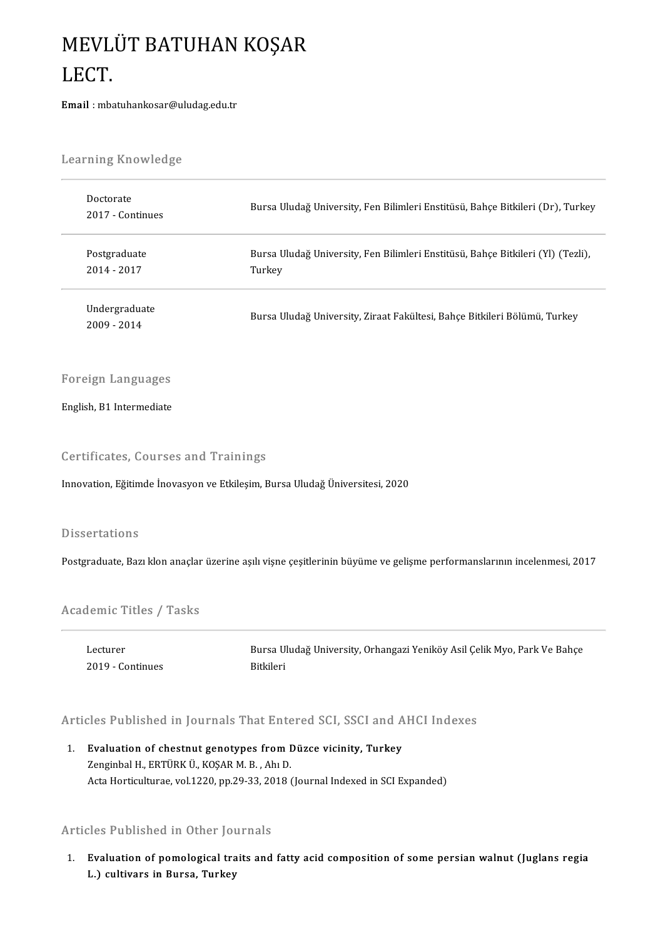## MEVLÜT BATUHAN KOŞAR<br>LECT MEVL<br>LECT.<br><sub>Email : mba</sub> LECT.<br>Email : mbatuhankosar@uludag.edu.tr

| <b>Learning Knowledge</b>                                                                                                  |                                                                                                                        |
|----------------------------------------------------------------------------------------------------------------------------|------------------------------------------------------------------------------------------------------------------------|
| Doctorate<br>2017 - Continues                                                                                              | Bursa Uludağ University, Fen Bilimleri Enstitüsü, Bahçe Bitkileri (Dr), Turkey                                         |
| Postgraduate<br>2014 - 2017                                                                                                | Bursa Uludağ University, Fen Bilimleri Enstitüsü, Bahçe Bitkileri (Yl) (Tezli),<br>Turkey                              |
| Undergraduate<br>2009 - 2014                                                                                               | Bursa Uludağ University, Ziraat Fakültesi, Bahçe Bitkileri Bölümü, Turkey                                              |
| <b>Foreign Languages</b>                                                                                                   |                                                                                                                        |
| English, B1 Intermediate                                                                                                   |                                                                                                                        |
| <b>Certificates, Courses and Trainings</b><br>Innovation, Eğitimde İnovasyon ve Etkileşim, Bursa Uludağ Üniversitesi, 2020 |                                                                                                                        |
| <b>Dissertations</b>                                                                                                       |                                                                                                                        |
|                                                                                                                            | Postgraduate, Bazı klon anaçlar üzerine aşılı vişne çeşitlerinin büyüme ve gelişme performanslarının incelenmesi, 2017 |
| <b>Academic Titles / Tasks</b>                                                                                             |                                                                                                                        |
| Lecturer<br>2019 Continues                                                                                                 | Bursa Uludağ University, Orhangazi Yeniköy Asil Çelik Myo, Park Ve Bahçe<br>Bitkileri                                  |
|                                                                                                                            | Articles Published in Journals That Entered SCI, SSCI and AHCI Indexes                                                 |

Similar States Published in Journals That Entered SCI, SSCI and A<br>1. Evaluation of chestnut genotypes from Düzce vicinity, Turkey<br>Tenginhal H. EPTÜRK Ü. KOSAR M. B. AbuD 1. Evaluation of chestnut genotypes from Düzce vicinity, Turkey<br>Zenginbal H., ERTÜRK Ü., KOŞAR M. B., Ahı D. Acta Horticulturae, vol.1220, pp.29-33, 2018 (Journal Indexed in SCI Expanded)

## Articles Published in Other Journals

Inticles Published in Other Journals<br>1. Evaluation of pomological traits and fatty acid composition of some persian walnut (Juglans regia<br>1.) sultivars in Purse, Turkey 2003 Tubribated in Burch Jov<br>Evaluation of pomological tra<br>L.) cultivars in Bursa, Turkey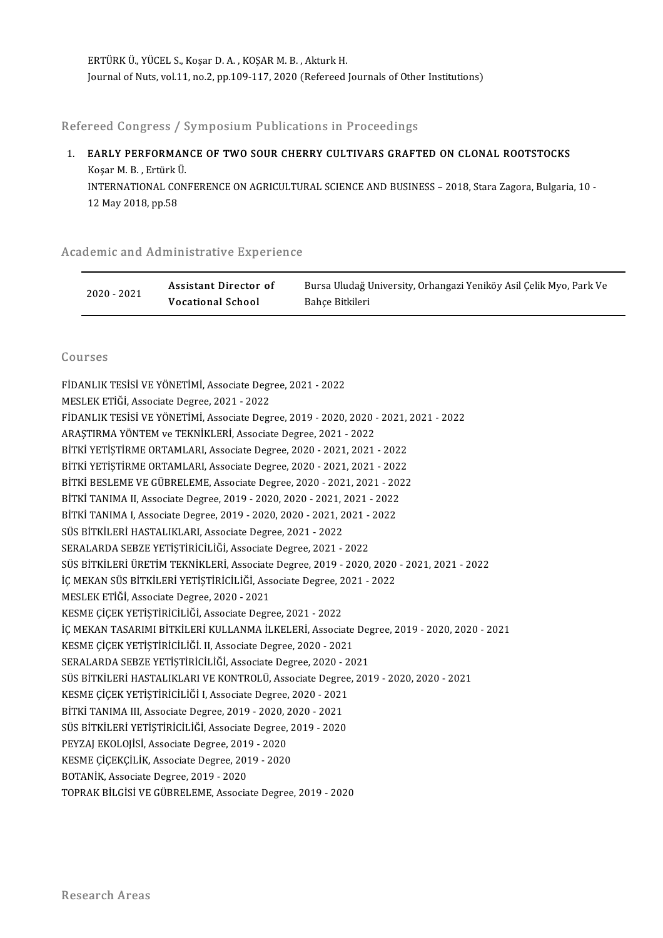ERTÜRKÜ.,YÜCEL S.,KoşarD.A. ,KOŞARM.B. ,AkturkH. Journal of Nuts, vol.11, no.2, pp.109-117, 2020 (Refereed Journals of Other Institutions)

Refereed Congress / Symposium Publications in Proceedings

Refereed Congress / Symposium Publications in Proceedings<br>1. EARLY PERFORMANCE OF TWO SOUR CHERRY CULTIVARS GRAFTED ON CLONAL ROOTSTOCKS KOSA SONGKOSS / C<br>EARLY PERFORMAN<br>Koşar M. B. , Ertürk Ü.<br>INTERNATIONAL CON EARLY PERFORMANCE OF TWO SOUR CHERRY CULTIVARS GRAFTED ON CLONAL ROOTSTOCKS<br>Koşar M. B. , Ertürk Ü.<br>INTERNATIONAL CONFERENCE ON AGRICULTURAL SCIENCE AND BUSINESS – 2018, Stara Zagora, Bulgaria, 10 -<br>12 May 2018, pp.58 Koşar M. B. , Ertürk İ<br>INTERNATIONAL CO<br>12 May 2018, pp.58

## 12 May 2018, pp.58<br>Academic and Administrative Experience

|             | demic and Administrative Experience        |                                                                                       |
|-------------|--------------------------------------------|---------------------------------------------------------------------------------------|
| 2020 - 2021 | Assistant Director of<br>Vocational School | Bursa Uludağ University, Orhangazi Yeniköy Asil Çelik Myo, Park Ve<br>Bahce Bitkileri |

## Courses

| Courses                                                                                   |
|-------------------------------------------------------------------------------------------|
| FİDANLIK TESİSİ VE YÖNETİMİ, Associate Degree, 2021 - 2022                                |
| MESLEK ETİĞİ, Associate Degree, 2021 - 2022                                               |
| FİDANLIK TESİSİ VE YÖNETİMİ, Associate Degree, 2019 - 2020, 2020 - 2021, 2021 - 2022      |
| ARAŞTIRMA YÖNTEM ve TEKNİKLERİ, Associate Degree, 2021 - 2022                             |
| BİTKİ YETİŞTİRME ORTAMLARI, Associate Degree, 2020 - 2021, 2021 - 2022                    |
| BİTKİ YETİŞTİRME ORTAMLARI, Associate Degree, 2020 - 2021, 2021 - 2022                    |
| BİTKİ BESLEME VE GÜBRELEME, Associate Degree, 2020 - 2021, 2021 - 2022                    |
| BİTKİ TANIMA II, Associate Degree, 2019 - 2020, 2020 - 2021, 2021 - 2022                  |
| BİTKİ TANIMA I, Associate Degree, 2019 - 2020, 2020 - 2021, 2021 - 2022                   |
| SÜS BİTKİLERİ HASTALIKLARI, Associate Degree, 2021 - 2022                                 |
| SERALARDA SEBZE YETİŞTİRİCİLİĞİ, Associate Degree, 2021 - 2022                            |
| SÜS BİTKİLERİ ÜRETİM TEKNİKLERİ, Associate Degree, 2019 - 2020, 2020 - 2021, 2021 - 2022  |
| İÇ MEKAN SÜS BİTKİLERİ YETİŞTİRİCİLİĞİ, Associate Degree, 2021 - 2022                     |
| MESLEK ETİĞİ, Associate Degree, 2020 - 2021                                               |
| KESME ÇİÇEK YETİŞTİRİCİLİĞİ, Associate Degree, 2021 - 2022                                |
| İÇ MEKAN TASARIMI BİTKİLERİ KULLANMA İLKELERİ, Associate Degree, 2019 - 2020, 2020 - 2021 |
| KESME ÇİÇEK YETİŞTİRİCİLİĞİ. II, Associate Degree, 2020 - 2021                            |
| SERALARDA SEBZE YETİŞTİRİCİLİĞİ, Associate Degree, 2020 - 2021                            |
| SÜS BİTKİLERİ HASTALIKLARI VE KONTROLÜ, Associate Degree, 2019 - 2020, 2020 - 2021        |
| KESME ÇİÇEK YETİŞTİRİCİLİĞİ I, Associate Degree, 2020 - 2021                              |
| BİTKİ TANIMA III, Associate Degree, 2019 - 2020, 2020 - 2021                              |
| SÜS BİTKİLERİ YETİŞTİRİCİLİĞİ, Associate Degree, 2019 - 2020                              |
| PEYZAJ EKOLOJISI, Associate Degree, 2019 - 2020                                           |
| KESME ÇİÇEKÇİLİK, Associate Degree, 2019 - 2020                                           |
| BOTANİK, Associate Degree, 2019 - 2020                                                    |
| TOPRAK BİLGİSİ VE GÜBRELEME, Associate Degree, 2019 - 2020                                |